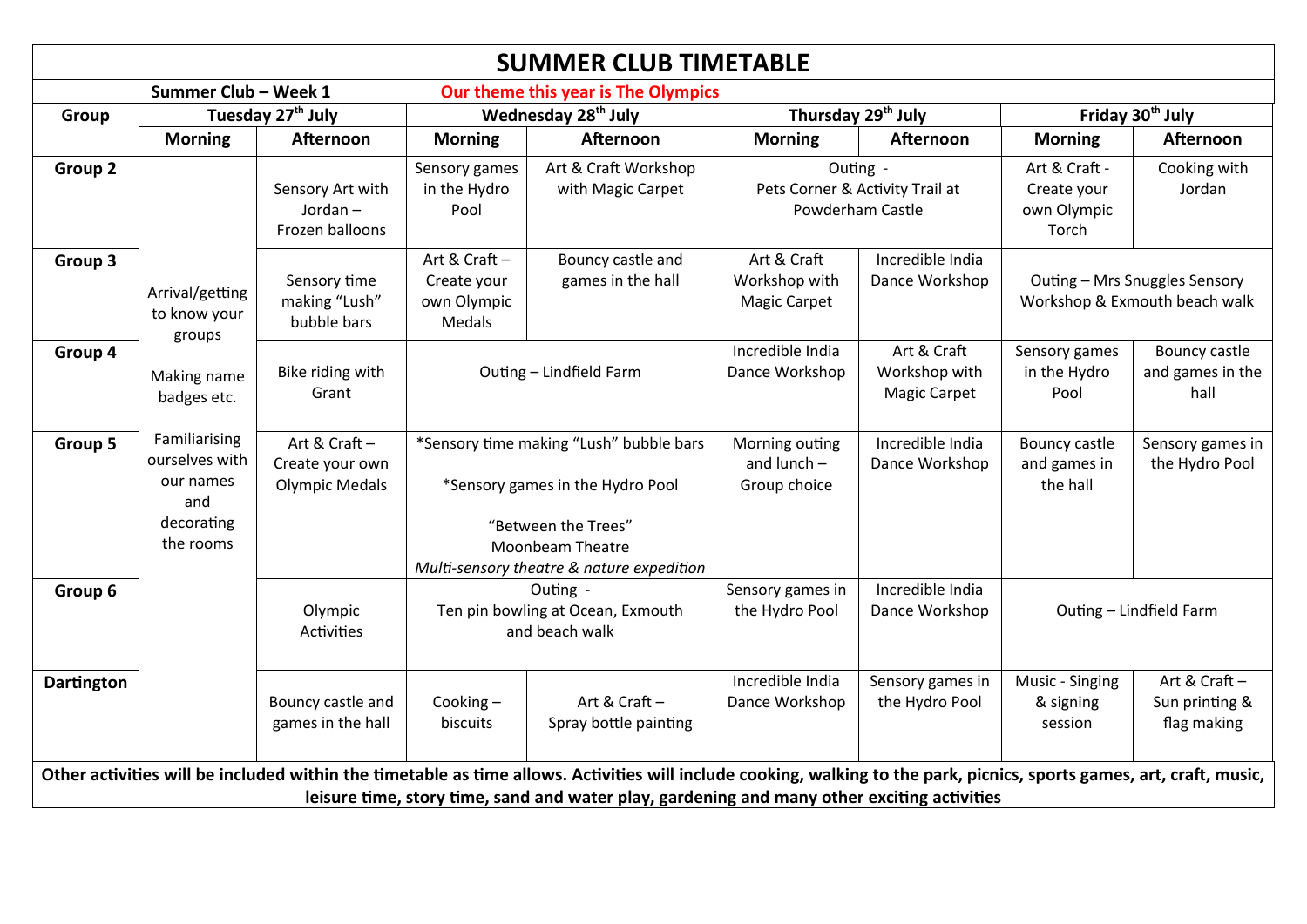|                                                                                                                                                                                                                                                                       |                                                                                |                                                           |                                                                                                                                                                     | <b>SUMMER CLUB TIMETABLE</b>           |                                                                 |                                                     |                                                                |                                               |
|-----------------------------------------------------------------------------------------------------------------------------------------------------------------------------------------------------------------------------------------------------------------------|--------------------------------------------------------------------------------|-----------------------------------------------------------|---------------------------------------------------------------------------------------------------------------------------------------------------------------------|----------------------------------------|-----------------------------------------------------------------|-----------------------------------------------------|----------------------------------------------------------------|-----------------------------------------------|
|                                                                                                                                                                                                                                                                       | Summer Club - Week 1                                                           |                                                           | Our theme this year is The Olympics                                                                                                                                 |                                        |                                                                 |                                                     |                                                                |                                               |
| Group                                                                                                                                                                                                                                                                 | Tuesday 27 <sup>th</sup> July                                                  |                                                           | Wednesday 28 <sup>th</sup> July                                                                                                                                     |                                        | Thursday 29 <sup>th</sup> July                                  |                                                     | Friday 30 <sup>th</sup> July                                   |                                               |
|                                                                                                                                                                                                                                                                       | <b>Morning</b>                                                                 | Afternoon                                                 | <b>Morning</b>                                                                                                                                                      | Afternoon                              | <b>Morning</b>                                                  | Afternoon                                           | <b>Morning</b>                                                 | Afternoon                                     |
| Group 2                                                                                                                                                                                                                                                               |                                                                                | Sensory Art with<br>Jordan $-$<br>Frozen balloons         | Sensory games<br>Art & Craft Workshop<br>in the Hydro<br>with Magic Carpet<br>Pool                                                                                  |                                        | Outing -<br>Pets Corner & Activity Trail at<br>Powderham Castle |                                                     | Art & Craft -<br>Create your<br>own Olympic<br>Torch           | Cooking with<br>Jordan                        |
| Group 3                                                                                                                                                                                                                                                               | Arrival/getting<br>to know your<br>groups                                      | Sensory time<br>making "Lush"<br>bubble bars              | Art & Craft-<br>Create your<br>own Olympic<br>Medals                                                                                                                | Bouncy castle and<br>games in the hall | Art & Craft<br>Workshop with<br><b>Magic Carpet</b>             | Incredible India<br>Dance Workshop                  | Outing - Mrs Snuggles Sensory<br>Workshop & Exmouth beach walk |                                               |
| Group 4                                                                                                                                                                                                                                                               | Making name<br>badges etc.                                                     | Bike riding with<br>Grant                                 |                                                                                                                                                                     | Outing - Lindfield Farm                | Incredible India<br>Dance Workshop                              | Art & Craft<br>Workshop with<br><b>Magic Carpet</b> | Sensory games<br>in the Hydro<br>Pool                          | Bouncy castle<br>and games in the<br>hall     |
| Group 5                                                                                                                                                                                                                                                               | Familiarising<br>ourselves with<br>our names<br>and<br>decorating<br>the rooms | Art & Craft -<br>Create your own<br><b>Olympic Medals</b> | *Sensory time making "Lush" bubble bars<br>*Sensory games in the Hydro Pool<br>"Between the Trees"<br>Moonbeam Theatre<br>Multi-sensory theatre & nature expedition |                                        | Morning outing<br>and lunch $-$<br>Group choice                 | Incredible India<br>Dance Workshop                  | <b>Bouncy castle</b><br>and games in<br>the hall               | Sensory games in<br>the Hydro Pool            |
| Group 6                                                                                                                                                                                                                                                               |                                                                                | Olympic<br><b>Activities</b>                              | Outing -<br>Ten pin bowling at Ocean, Exmouth<br>and beach walk                                                                                                     |                                        | Sensory games in<br>the Hydro Pool                              | Incredible India<br>Dance Workshop                  | Outing - Lindfield Farm                                        |                                               |
| <b>Dartington</b>                                                                                                                                                                                                                                                     |                                                                                | Bouncy castle and<br>games in the hall                    | Cooking-<br>biscuits                                                                                                                                                | Art & Craft-<br>Spray bottle painting  | Incredible India<br>Dance Workshop                              | Sensory games in<br>the Hydro Pool                  | Music - Singing<br>& signing<br>session                        | Art & Craft-<br>Sun printing &<br>flag making |
| Other activities will be included within the timetable as time allows. Activities will include cooking, walking to the park, picnics, sports games, art, craft, music,<br>leisure time, story time, sand and water play, gardening and many other exciting activities |                                                                                |                                                           |                                                                                                                                                                     |                                        |                                                                 |                                                     |                                                                |                                               |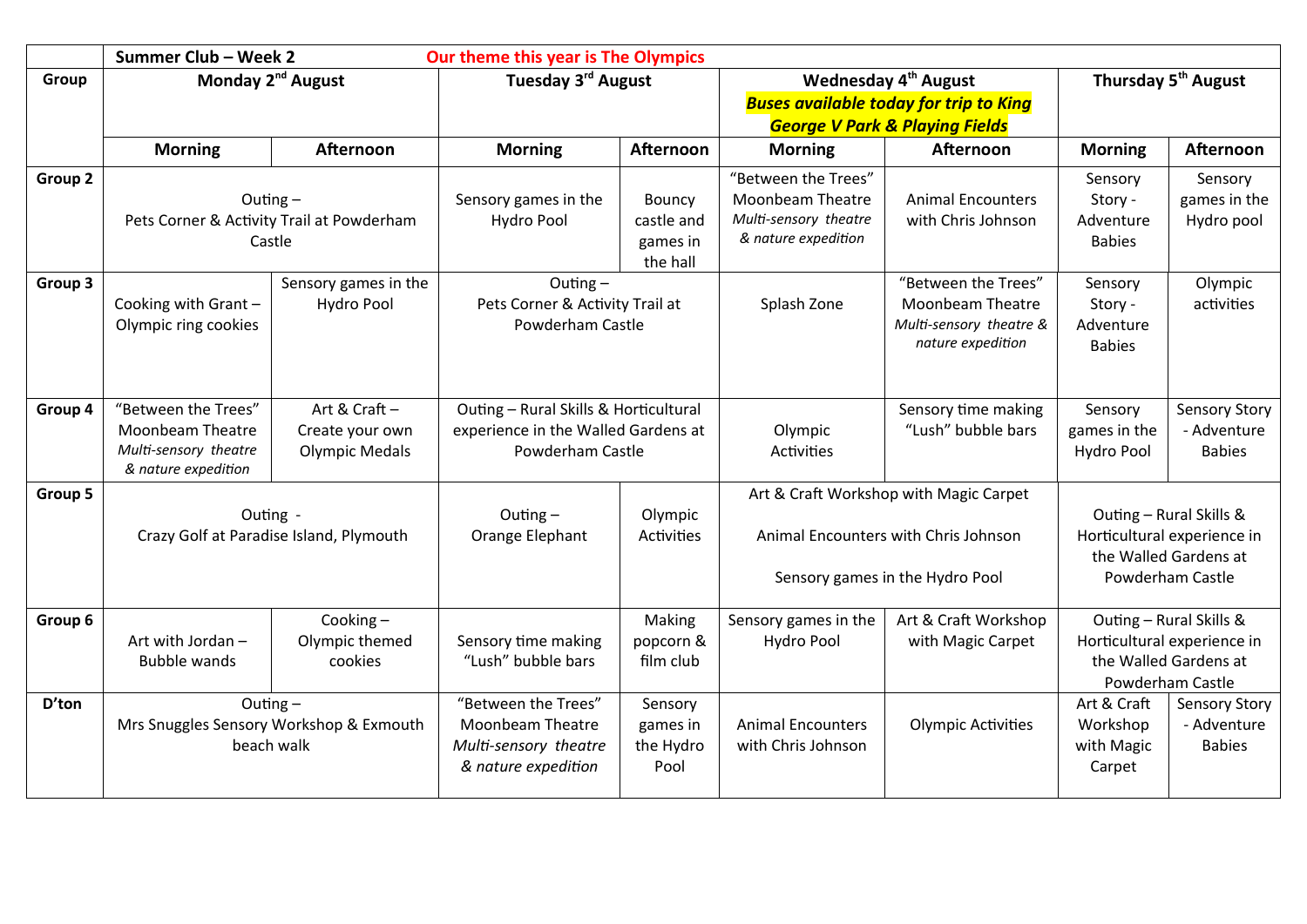|         | Summer Club - Week 2<br>Our theme this year is The Olympics                                    |                                                           |                                                                                                  |                                                     |                                                                                                                                |                                                                                                |                                                                                                     |                                                      |  |
|---------|------------------------------------------------------------------------------------------------|-----------------------------------------------------------|--------------------------------------------------------------------------------------------------|-----------------------------------------------------|--------------------------------------------------------------------------------------------------------------------------------|------------------------------------------------------------------------------------------------|-----------------------------------------------------------------------------------------------------|------------------------------------------------------|--|
| Group   | Monday 2 <sup>nd</sup> August                                                                  |                                                           | Tuesday 3rd August                                                                               |                                                     | Wednesday 4 <sup>th</sup> August<br><b>Buses available today for trip to King</b><br><b>George V Park &amp; Playing Fields</b> | Thursday 5 <sup>th</sup> August                                                                |                                                                                                     |                                                      |  |
|         | <b>Morning</b>                                                                                 | Afternoon                                                 | <b>Morning</b>                                                                                   | Afternoon                                           | <b>Morning</b>                                                                                                                 | Afternoon                                                                                      | <b>Morning</b>                                                                                      | <b>Afternoon</b>                                     |  |
| Group 2 | Outing $-$<br>Pets Corner & Activity Trail at Powderham<br>Castle                              |                                                           | Sensory games in the<br>Hydro Pool                                                               | <b>Bouncy</b><br>castle and<br>games in<br>the hall | "Between the Trees"<br>Moonbeam Theatre<br>Multi-sensory theatre<br>& nature expedition                                        | <b>Animal Encounters</b><br>with Chris Johnson                                                 | Sensory<br>Story -<br>Adventure<br><b>Babies</b>                                                    | Sensory<br>games in the<br>Hydro pool                |  |
| Group 3 | Cooking with Grant-<br>Olympic ring cookies                                                    | Sensory games in the<br>Hydro Pool                        | Outing $-$<br>Pets Corner & Activity Trail at<br>Powderham Castle                                |                                                     | Splash Zone                                                                                                                    | "Between the Trees"<br><b>Moonbeam Theatre</b><br>Multi-sensory theatre &<br>nature expedition | Sensory<br>Story -<br>Adventure<br><b>Babies</b>                                                    | Olympic<br>activities                                |  |
| Group 4 | "Between the Trees"<br><b>Moonbeam Theatre</b><br>Multi-sensory theatre<br>& nature expedition | Art & Craft -<br>Create your own<br><b>Olympic Medals</b> | Outing - Rural Skills & Horticultural<br>experience in the Walled Gardens at<br>Powderham Castle |                                                     | Olympic<br>Activities                                                                                                          | Sensory time making<br>"Lush" bubble bars                                                      | Sensory<br>games in the<br>Hydro Pool                                                               | <b>Sensory Story</b><br>- Adventure<br><b>Babies</b> |  |
| Group 5 | Outing -<br>Crazy Golf at Paradise Island, Plymouth                                            |                                                           | Outing $-$<br>Orange Elephant                                                                    | Olympic<br>Activities                               | Art & Craft Workshop with Magic Carpet<br>Animal Encounters with Chris Johnson<br>Sensory games in the Hydro Pool              |                                                                                                | Outing - Rural Skills &<br>Horticultural experience in<br>the Walled Gardens at<br>Powderham Castle |                                                      |  |
| Group 6 | Art with Jordan -<br><b>Bubble wands</b>                                                       | Cooking-<br>Olympic themed<br>cookies                     | Sensory time making<br>"Lush" bubble bars                                                        | Making<br>popcorn &<br>film club                    | Sensory games in the<br>Hydro Pool                                                                                             | Art & Craft Workshop<br>with Magic Carpet                                                      | Outing - Rural Skills &<br>Horticultural experience in<br>the Walled Gardens at<br>Powderham Castle |                                                      |  |
| D'ton   | Outing $-$<br>Mrs Snuggles Sensory Workshop & Exmouth<br>beach walk                            |                                                           | "Between the Trees"<br><b>Moonbeam Theatre</b><br>Multi-sensory theatre<br>& nature expedition   | Sensory<br>games in<br>the Hydro<br>Pool            | <b>Animal Encounters</b><br><b>Olympic Activities</b><br>with Chris Johnson                                                    |                                                                                                | Art & Craft<br>Workshop<br>with Magic<br>Carpet                                                     | <b>Sensory Story</b><br>- Adventure<br><b>Babies</b> |  |